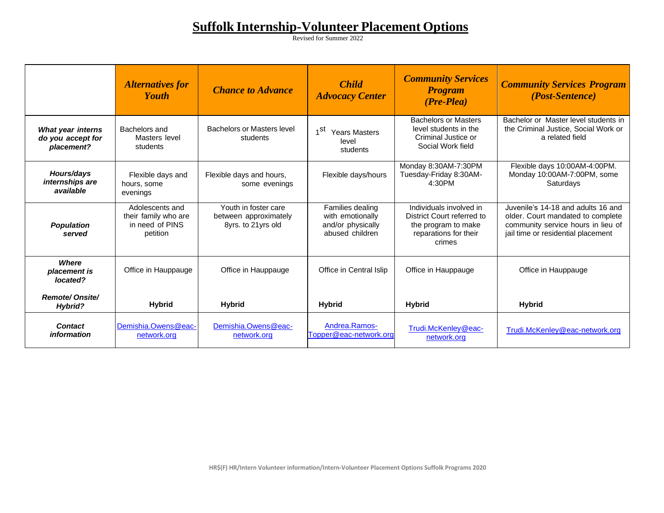## **Suffolk Internship-Volunteer Placement Options**

Revised for Summer 2022

|                                                             | <b>Alternatives for</b><br><b>Youth</b>                                | <b>Chance to Advance</b>                                            | <b>Child</b><br><b>Advocacy Center</b>                                       | <b>Community Services</b><br><b>Program</b><br>$(Pre-Plea)$                                                     | <b>Community Services Program</b><br><i>(Post-Sentence)</i>                                                                                         |
|-------------------------------------------------------------|------------------------------------------------------------------------|---------------------------------------------------------------------|------------------------------------------------------------------------------|-----------------------------------------------------------------------------------------------------------------|-----------------------------------------------------------------------------------------------------------------------------------------------------|
| <b>What year interns</b><br>do you accept for<br>placement? | Bachelors and<br>Masters level<br>students                             | Bachelors or Masters level<br>students                              | 1 <sup>St</sup><br><b>Years Masters</b><br>level<br>students                 | <b>Bachelors or Masters</b><br>level students in the<br>Criminal Justice or<br>Social Work field                | Bachelor or Master level students in<br>the Criminal Justice, Social Work or<br>a related field                                                     |
| Hours/days<br>internships are<br>available                  | Flexible days and<br>hours, some<br>evenings                           | Flexible days and hours,<br>some evenings                           | Flexible days/hours                                                          | Monday 8:30AM-7:30PM<br>Tuesday-Friday 8:30AM-<br>4:30PM                                                        | Flexible days 10:00AM-4:00PM.<br>Monday 10:00AM-7:00PM, some<br>Saturdays                                                                           |
| <b>Population</b><br>served                                 | Adolescents and<br>their family who are<br>in need of PINS<br>petition | Youth in foster care<br>between approximately<br>8yrs. to 21yrs old | Families dealing<br>with emotionally<br>and/or physically<br>abused children | Individuals involved in<br>District Court referred to<br>the program to make<br>reparations for their<br>crimes | Juvenile's 14-18 and adults 16 and<br>older. Court mandated to complete<br>community service hours in lieu of<br>jail time or residential placement |
| <b>Where</b><br>placement is<br>located?                    | Office in Hauppauge                                                    | Office in Hauppauge                                                 | Office in Central Islip                                                      | Office in Hauppauge                                                                                             | Office in Hauppauge                                                                                                                                 |
| <b>Remote/Onsite/</b><br><b>Hybrid?</b>                     | <b>Hybrid</b>                                                          | <b>Hybrid</b>                                                       | <b>Hybrid</b>                                                                | <b>Hybrid</b>                                                                                                   | <b>Hybrid</b>                                                                                                                                       |
| <b>Contact</b><br>information                               | Demishia.Owens@eac-<br>network.org                                     | Demishia.Owens@eac-<br>network.org                                  | Andrea.Ramos-<br>Topper@eac-network.org                                      | Trudi.McKenley@eac-<br>network.org                                                                              | Trudi.McKenley@eac-network.org                                                                                                                      |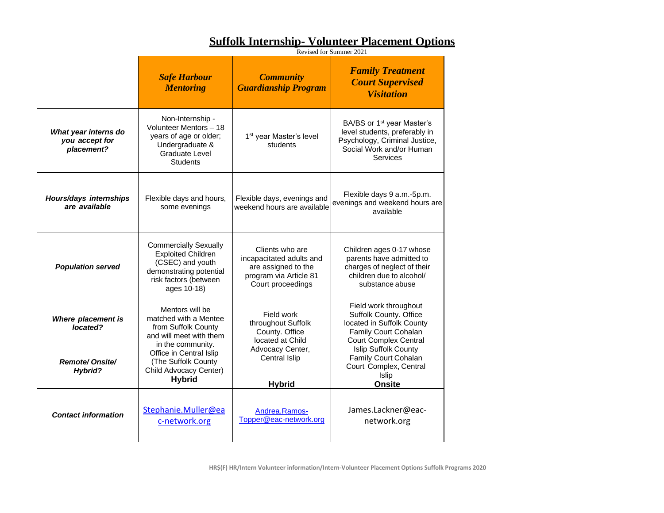## **Suffolk Internship- Volunteer Placement Options**

Revised for Summer 2021

|                                                                    | <b>Safe Harbour</b><br><b>Mentoring</b>                                                                                                                                                                      | <b>Community</b><br><b>Guardianship Program</b>                                                                              | <b>Family Treatment</b><br><b>Court Supervised</b><br><b>Visitation</b>                                                                                                                                                                  |
|--------------------------------------------------------------------|--------------------------------------------------------------------------------------------------------------------------------------------------------------------------------------------------------------|------------------------------------------------------------------------------------------------------------------------------|------------------------------------------------------------------------------------------------------------------------------------------------------------------------------------------------------------------------------------------|
| What year interns do<br>you accept for<br>placement?               | Non-Internship -<br>Volunteer Mentors - 18<br>years of age or older;<br>Undergraduate &<br><b>Graduate Level</b><br><b>Students</b>                                                                          | 1 <sup>st</sup> year Master's level<br>students                                                                              | BA/BS or 1 <sup>st</sup> year Master's<br>level students, preferably in<br>Psychology, Criminal Justice,<br>Social Work and/or Human<br>Services                                                                                         |
| Hours/days internships<br>are available                            | Flexible days and hours,<br>Flexible days, evenings and<br>some evenings<br>weekend hours are available                                                                                                      |                                                                                                                              | Flexible days 9 a.m.-5p.m.<br>evenings and weekend hours are<br>available                                                                                                                                                                |
| <b>Population served</b>                                           | <b>Commercially Sexually</b><br><b>Exploited Children</b><br>(CSEC) and youth<br>demonstrating potential<br>risk factors (between<br>ages 10-18)                                                             | Clients who are<br>incapacitated adults and<br>are assigned to the<br>program via Article 81<br>Court proceedings            | Children ages 0-17 whose<br>parents have admitted to<br>charges of neglect of their<br>children due to alcohol/<br>substance abuse                                                                                                       |
| Where placement is<br>located?<br><b>Remote/Onsite/</b><br>Hybrid? | Mentors will be<br>matched with a Mentee<br>from Suffolk County<br>and will meet with them<br>in the community.<br>Office in Central Islip<br>(The Suffolk County<br>Child Advocacy Center)<br><b>Hybrid</b> | Field work<br>throughout Suffolk<br>County. Office<br>located at Child<br>Advocacy Center,<br>Central Islip<br><b>Hybrid</b> | Field work throughout<br>Suffolk County. Office<br>located in Suffolk County<br>Family Court Cohalan<br><b>Court Complex Central</b><br>Islip Suffolk County<br>Family Court Cohalan<br>Court Complex, Central<br>Islip<br><b>Onsite</b> |
| <b>Contact information</b>                                         | Stephanie.Muller@ea<br>c-network.org                                                                                                                                                                         | Andrea.Ramos-<br>Topper@eac-network.org                                                                                      | James.Lackner@eac-<br>network.org                                                                                                                                                                                                        |